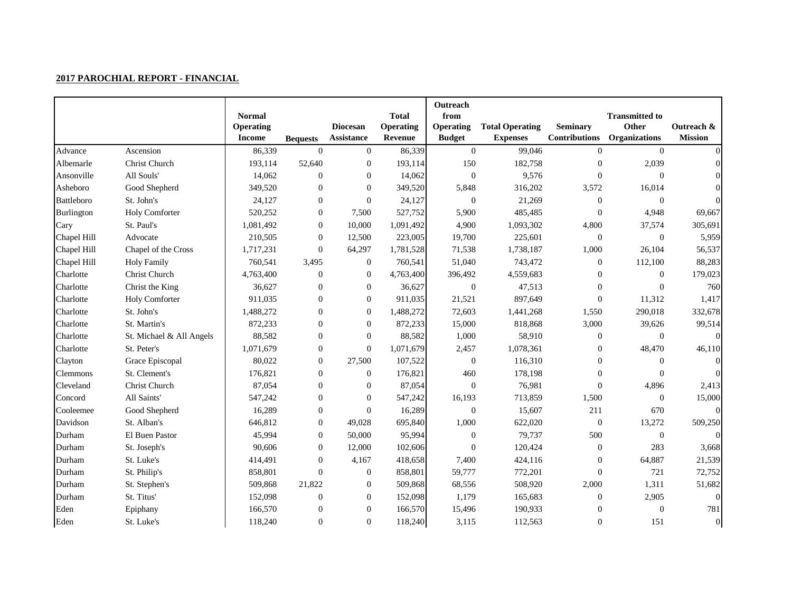|                   |                          | <b>Normal</b>    |                  |                  | <b>Total</b> | Outreach<br>from |                        |                      | <b>Transmitted to</b> |                  |
|-------------------|--------------------------|------------------|------------------|------------------|--------------|------------------|------------------------|----------------------|-----------------------|------------------|
|                   |                          | <b>Operating</b> |                  | <b>Diocesan</b>  | Operating    | <b>Operating</b> | <b>Total Operating</b> | <b>Seminary</b>      | Other                 | Outreach &       |
|                   |                          | <b>Income</b>    | <b>Bequests</b>  | Assistance       | Revenue      | <b>Budget</b>    | <b>Expenses</b>        | <b>Contributions</b> | <b>Organizations</b>  | <b>Mission</b>   |
| Advance           | Ascension                | 86,339           | $\boldsymbol{0}$ | $\overline{0}$   | 86,339       | $\overline{0}$   | 99,046                 | $\overline{0}$       | $\overline{0}$        |                  |
| Albemarle         | Christ Church            | 193,114          | 52,640           | $\boldsymbol{0}$ | 193,114      | 150              | 182,758                | $\boldsymbol{0}$     | 2,039                 |                  |
| Ansonville        | All Souls'               | 14,062           | $\boldsymbol{0}$ | $\boldsymbol{0}$ | 14,062       | $\boldsymbol{0}$ | 9,576                  | $\overline{0}$       | $\Omega$              |                  |
| Asheboro          | Good Shepherd            | 349,520          | $\mathbf{0}$     | $\overline{0}$   | 349,520      | 5,848            | 316,202                | 3,572                | 16,014                |                  |
| <b>Battleboro</b> | St. John's               | 24,127           | $\boldsymbol{0}$ | $\boldsymbol{0}$ | 24,127       | $\boldsymbol{0}$ | 21,269                 | $\overline{0}$       | $\mathbf{0}$          |                  |
| Burlington        | Holy Comforter           | 520,252          | $\boldsymbol{0}$ | 7,500            | 527,752      | 5,900            | 485,485                | $\Omega$             | 4,948                 | 69,667           |
| Cary              | St. Paul's               | 1,081,492        | $\boldsymbol{0}$ | 10,000           | 1,091,492    | 4,900            | 1,093,302              | 4,800                | 37,574                | 305,691          |
| Chapel Hill       | Advocate                 | 210,505          | $\boldsymbol{0}$ | 12,500           | 223,005      | 19,700           | 225,601                | $\boldsymbol{0}$     | $\boldsymbol{0}$      | 5,959            |
| Chapel Hill       | Chapel of the Cross      | 1,717,231        | $\boldsymbol{0}$ | 64,297           | 1,781,528    | 71,538           | 1,738,187              | 1,000                | 26,104                | 56,537           |
| Chapel Hill       | <b>Holy Family</b>       | 760,541          | 3,495            | $\boldsymbol{0}$ | 760,541      | 51,040           | 743,472                | $\boldsymbol{0}$     | 112,100               | 88,283           |
| Charlotte         | Christ Church            | 4,763,400        | $\boldsymbol{0}$ | $\boldsymbol{0}$ | 4,763,400    | 396,492          | 4,559,683              | $\boldsymbol{0}$     | $\Omega$              | 179,023          |
| Charlotte         | Christ the King          | 36,627           | $\boldsymbol{0}$ | $\mathbf{0}$     | 36,627       | $\boldsymbol{0}$ | 47,513                 | $\overline{0}$       | $\mathbf{0}$          | 760              |
| Charlotte         | <b>Holy Comforter</b>    | 911,035          | $\boldsymbol{0}$ | $\overline{0}$   | 911,035      | 21,521           | 897,649                | $\Omega$             | 11,312                | 1,417            |
| Charlotte         | St. John's               | 1,488,272        | $\boldsymbol{0}$ | $\boldsymbol{0}$ | 1,488,272    | 72,603           | 1,441,268              | 1,550                | 290,018               | 332,678          |
| Charlotte         | St. Martin's             | 872,233          | $\boldsymbol{0}$ | $\boldsymbol{0}$ | 872,233      | 15,000           | 818,868                | 3,000                | 39,626                | 99,514           |
| Charlotte         | St. Michael & All Angels | 88,582           | $\boldsymbol{0}$ | $\boldsymbol{0}$ | 88,582       | 1,000            | 58,910                 | $\boldsymbol{0}$     | $\overline{0}$        | $\theta$         |
| Charlotte         | St. Peter's              | 1,071,679        | $\boldsymbol{0}$ | $\boldsymbol{0}$ | 1,071,679    | 2,457            | 1,078,361              | $\boldsymbol{0}$     | 48,470                | 46,110           |
| Clayton           | Grace Episcopal          | 80,022           | $\boldsymbol{0}$ | 27,500           | 107,522      | $\boldsymbol{0}$ | 116,310                | $\boldsymbol{0}$     | $\Omega$              | $\Omega$         |
| Clemmons          | St. Clement's            | 176,821          | $\boldsymbol{0}$ | $\boldsymbol{0}$ | 176,821      | 460              | 178,198                | $\overline{0}$       | $\theta$              |                  |
| Cleveland         | Christ Church            | 87,054           | $\boldsymbol{0}$ | $\overline{0}$   | 87,054       | $\boldsymbol{0}$ | 76,981                 | $\boldsymbol{0}$     | 4,896                 | 2,413            |
| Concord           | All Saints'              | 547,242          | $\boldsymbol{0}$ | $\overline{0}$   | 547,242      | 16,193           | 713,859                | 1,500                | $\Omega$              | 15,000           |
| Cooleemee         | Good Shepherd            | 16,289           | $\boldsymbol{0}$ | $\boldsymbol{0}$ | 16,289       | $\boldsymbol{0}$ | 15,607                 | 211                  | 670                   | $\Omega$         |
| Davidson          | St. Alban's              | 646,812          | $\boldsymbol{0}$ | 49,028           | 695,840      | 1,000            | 622,020                | $\boldsymbol{0}$     | 13,272                | 509,250          |
| Durham            | El Buen Pastor           | 45,994           | $\boldsymbol{0}$ | 50,000           | 95,994       | $\boldsymbol{0}$ | 79,737                 | 500                  | $\boldsymbol{0}$      |                  |
| Durham            | St. Joseph's             | 90,606           | $\boldsymbol{0}$ | 12,000           | 102,606      | $\boldsymbol{0}$ | 120,424                | $\boldsymbol{0}$     | 283                   | 3,668            |
| Durham            | St. Luke's               | 414,491          | $\boldsymbol{0}$ | 4,167            | 418,658      | 7,400            | 424,116                | $\boldsymbol{0}$     | 64,887                | 21,539           |
| Durham            | St. Philip's             | 858,801          | $\boldsymbol{0}$ | $\boldsymbol{0}$ | 858,801      | 59,777           | 772,201                | $\boldsymbol{0}$     | 721                   | 72,752           |
| Durham            | St. Stephen's            | 509,868          | 21,822           | $\overline{0}$   | 509,868      | 68,556           | 508,920                | 2,000                | 1,311                 | 51,682           |
| Durham            | St. Titus'               | 152,098          | $\boldsymbol{0}$ | $\boldsymbol{0}$ | 152,098      | 1,179            | 165,683                | $\boldsymbol{0}$     | 2,905                 |                  |
| Eden              | Epiphany                 | 166,570          | $\boldsymbol{0}$ | $\boldsymbol{0}$ | 166,570      | 15,496           | 190,933                | $\overline{0}$       | $\Omega$              | 781              |
| Eden              | St. Luke's               | 118,240          | $\Omega$         | $\overline{0}$   | 118,240      | 3,115            | 112,563                | $\Omega$             | 151                   | $\boldsymbol{0}$ |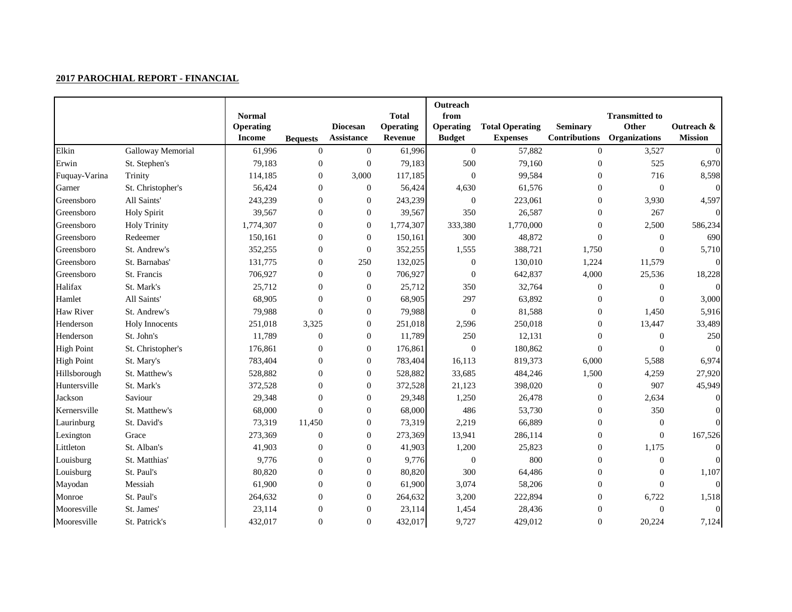|                   |                     | <b>Normal</b><br><b>Operating</b><br><b>Income</b> | <b>Bequests</b>  | <b>Diocesan</b><br>Assistance | <b>Total</b><br><b>Operating</b><br>Revenue | Outreach<br>from<br><b>Operating</b><br><b>Budget</b> | <b>Total Operating</b><br><b>Expenses</b> | <b>Seminary</b><br><b>Contributions</b> | <b>Transmitted to</b><br>Other<br><b>Organizations</b> | Outreach &<br><b>Mission</b> |
|-------------------|---------------------|----------------------------------------------------|------------------|-------------------------------|---------------------------------------------|-------------------------------------------------------|-------------------------------------------|-----------------------------------------|--------------------------------------------------------|------------------------------|
| Elkin             | Galloway Memorial   | 61,996                                             | $\boldsymbol{0}$ | $\boldsymbol{0}$              | 61,996                                      | $\overline{0}$                                        | 57,882                                    | $\boldsymbol{0}$                        | 3,527                                                  | $\Omega$                     |
| Erwin             | St. Stephen's       | 79,183                                             | $\boldsymbol{0}$ | $\boldsymbol{0}$              | 79,183                                      | 500                                                   | 79,160                                    | $\boldsymbol{0}$                        | 525                                                    | 6,970                        |
| Fuquay-Varina     | Trinity             | 114,185                                            | $\boldsymbol{0}$ | 3,000                         | 117,185                                     | $\boldsymbol{0}$                                      | 99,584                                    | $\overline{0}$                          | 716                                                    | 8,598                        |
| Garner            | St. Christopher's   | 56,424                                             | $\boldsymbol{0}$ | $\boldsymbol{0}$              | 56,424                                      | 4,630                                                 | 61,576                                    | $\overline{0}$                          | $\boldsymbol{0}$                                       | $\Omega$                     |
| Greensboro        | All Saints'         | 243,239                                            | $\boldsymbol{0}$ | $\boldsymbol{0}$              | 243,239                                     | $\mathbf{0}$                                          | 223,061                                   | $\boldsymbol{0}$                        | 3,930                                                  | 4,597                        |
| Greensboro        | <b>Holy Spirit</b>  | 39,567                                             | $\boldsymbol{0}$ | $\boldsymbol{0}$              | 39,567                                      | 350                                                   | 26,587                                    | $\overline{0}$                          | 267                                                    |                              |
| Greensboro        | <b>Holy Trinity</b> | 1,774,307                                          | $\boldsymbol{0}$ | $\boldsymbol{0}$              | 1,774,307                                   | 333,380                                               | 1,770,000                                 | $\boldsymbol{0}$                        | 2,500                                                  | 586,234                      |
| Greensboro        | Redeemer            | 150,161                                            | $\boldsymbol{0}$ | $\boldsymbol{0}$              | 150,161                                     | 300                                                   | 48,872                                    | $\boldsymbol{0}$                        | $\mathbf{0}$                                           | 690                          |
| Greensboro        | St. Andrew's        | 352,255                                            | $\boldsymbol{0}$ | $\boldsymbol{0}$              | 352,255                                     | 1,555                                                 | 388,721                                   | 1,750                                   | $\Omega$                                               | 5,710                        |
| Greensboro        | St. Barnabas'       | 131,775                                            | $\boldsymbol{0}$ | 250                           | 132,025                                     | $\boldsymbol{0}$                                      | 130,010                                   | 1,224                                   | 11,579                                                 | $\Omega$                     |
| Greensboro        | St. Francis         | 706,927                                            | $\boldsymbol{0}$ | $\boldsymbol{0}$              | 706,927                                     | $\boldsymbol{0}$                                      | 642,837                                   | 4,000                                   | 25,536                                                 | 18,228                       |
| Halifax           | St. Mark's          | 25,712                                             | $\boldsymbol{0}$ | $\theta$                      | 25,712                                      | 350                                                   | 32,764                                    | $\boldsymbol{0}$                        | $\mathbf{0}$                                           |                              |
| Hamlet            | All Saints'         | 68,905                                             | $\boldsymbol{0}$ | $\boldsymbol{0}$              | 68,905                                      | 297                                                   | 63,892                                    | $\overline{0}$                          | $\Omega$                                               | 3,000                        |
| <b>Haw River</b>  | St. Andrew's        | 79,988                                             | $\overline{0}$   | $\boldsymbol{0}$              | 79,988                                      | $\mathbf{0}$                                          | 81,588                                    | $\overline{0}$                          | 1,450                                                  | 5,916                        |
| Henderson         | Holy Innocents      | 251,018                                            | 3,325            | $\boldsymbol{0}$              | 251,018                                     | 2,596                                                 | 250,018                                   | $\boldsymbol{0}$                        | 13,447                                                 | 33,489                       |
| Henderson         | St. John's          | 11,789                                             | $\boldsymbol{0}$ | $\boldsymbol{0}$              | 11,789                                      | 250                                                   | 12,131                                    | $\Omega$                                | $\Omega$                                               | 250                          |
| <b>High Point</b> | St. Christopher's   | 176,861                                            | $\boldsymbol{0}$ | $\boldsymbol{0}$              | 176,861                                     | $\boldsymbol{0}$                                      | 180,862                                   | $\overline{0}$                          | $\overline{0}$                                         |                              |
| <b>High Point</b> | St. Mary's          | 783,404                                            | $\boldsymbol{0}$ | $\boldsymbol{0}$              | 783,404                                     | 16,113                                                | 819,373                                   | 6,000                                   | 5,588                                                  | 6,974                        |
| Hillsborough      | St. Matthew's       | 528,882                                            | $\boldsymbol{0}$ | $\boldsymbol{0}$              | 528,882                                     | 33,685                                                | 484,246                                   | 1,500                                   | 4,259                                                  | 27,920                       |
| Huntersville      | St. Mark's          | 372,528                                            | $\Omega$         | $\Omega$                      | 372,528                                     | 21,123                                                | 398,020                                   | $\boldsymbol{0}$                        | 907                                                    | 45,949                       |
| Jackson           | Saviour             | 29,348                                             | $\boldsymbol{0}$ | $\boldsymbol{0}$              | 29,348                                      | 1,250                                                 | 26,478                                    | $\overline{0}$                          | 2,634                                                  | $\Omega$                     |
| Kernersville      | St. Matthew's       | 68,000                                             | $\Omega$         | $\boldsymbol{0}$              | 68,000                                      | 486                                                   | 53,730                                    | $\boldsymbol{0}$                        | 350                                                    |                              |
| Laurinburg        | St. David's         | 73,319                                             | 11,450           | $\boldsymbol{0}$              | 73,319                                      | 2,219                                                 | 66,889                                    | $\boldsymbol{0}$                        | $\boldsymbol{0}$                                       | $\Omega$                     |
| Lexington         | Grace               | 273,369                                            | $\boldsymbol{0}$ | $\boldsymbol{0}$              | 273,369                                     | 13,941                                                | 286,114                                   | $\boldsymbol{0}$                        | $\Omega$                                               | 167,526                      |
| Littleton         | St. Alban's         | 41,903                                             | $\boldsymbol{0}$ | $\boldsymbol{0}$              | 41,903                                      | 1,200                                                 | 25,823                                    | $\boldsymbol{0}$                        | 1,175                                                  | $\Omega$                     |
| Louisburg         | St. Matthias'       | 9,776                                              | $\boldsymbol{0}$ | $\boldsymbol{0}$              | 9,776                                       | $\boldsymbol{0}$                                      | 800                                       | $\overline{0}$                          | $\mathbf{0}$                                           | $\Omega$                     |
| Louisburg         | St. Paul's          | 80,820                                             | $\boldsymbol{0}$ | $\boldsymbol{0}$              | 80,820                                      | 300                                                   | 64,486                                    | $\overline{0}$                          | $\mathbf{0}$                                           | 1,107                        |
| Mayodan           | Messiah             | 61,900                                             | $\boldsymbol{0}$ | $\boldsymbol{0}$              | 61,900                                      | 3,074                                                 | 58,206                                    | $\boldsymbol{0}$                        | $\Omega$                                               |                              |
| Monroe            | St. Paul's          | 264,632                                            | $\boldsymbol{0}$ | $\boldsymbol{0}$              | 264,632                                     | 3,200                                                 | 222,894                                   | $\overline{0}$                          | 6,722                                                  | 1,518                        |
| Mooresville       | St. James'          | 23,114                                             | $\theta$         | $\theta$                      | 23,114                                      | 1,454                                                 | 28,436                                    | $\overline{0}$                          | $\Omega$                                               | $\Omega$                     |
| Mooresville       | St. Patrick's       | 432,017                                            | $\Omega$         | $\overline{0}$                | 432,017                                     | 9,727                                                 | 429,012                                   | $\Omega$                                | 20,224                                                 | 7,124                        |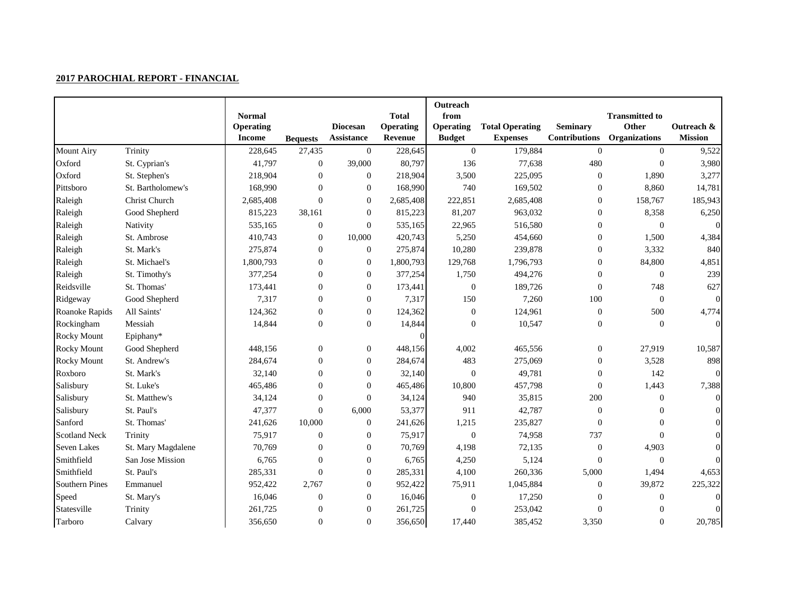|                       |                    | <b>Normal</b>    |                  |                   | <b>Total</b>     | Outreach<br>from |                        |                      | <b>Transmitted to</b> |                  |
|-----------------------|--------------------|------------------|------------------|-------------------|------------------|------------------|------------------------|----------------------|-----------------------|------------------|
|                       |                    | <b>Operating</b> |                  | <b>Diocesan</b>   | <b>Operating</b> | <b>Operating</b> | <b>Total Operating</b> | <b>Seminary</b>      | Other                 | Outreach &       |
|                       |                    | <b>Income</b>    | <b>Bequests</b>  | <b>Assistance</b> | Revenue          | <b>Budget</b>    | <b>Expenses</b>        | <b>Contributions</b> | <b>Organizations</b>  | <b>Mission</b>   |
| <b>Mount Airy</b>     | Trinity            | 228,645          | 27,435           | $\mathbf{0}$      | 228,645          | $\overline{0}$   | 179,884                | $\mathbf{0}$         | $\overline{0}$        | 9,522            |
| Oxford                | St. Cyprian's      | 41,797           | $\boldsymbol{0}$ | 39,000            | 80,797           | 136              | 77,638                 | 480                  | $\boldsymbol{0}$      | 3,980            |
| Oxford                | St. Stephen's      | 218,904          | $\boldsymbol{0}$ | $\boldsymbol{0}$  | 218,904          | 3,500            | 225,095                | $\boldsymbol{0}$     | 1,890                 | 3,277            |
| Pittsboro             | St. Bartholomew's  | 168,990          | $\boldsymbol{0}$ | $\boldsymbol{0}$  | 168,990          | 740              | 169,502                | $\boldsymbol{0}$     | 8,860                 | 14,781           |
| Raleigh               | Christ Church      | 2,685,408        | $\overline{0}$   | $\boldsymbol{0}$  | 2,685,408        | 222,851          | 2,685,408              | $\boldsymbol{0}$     | 158,767               | 185,943          |
| Raleigh               | Good Shepherd      | 815,223          | 38,161           | $\boldsymbol{0}$  | 815,223          | 81,207           | 963,032                | $\boldsymbol{0}$     | 8,358                 | 6,250            |
| Raleigh               | Nativity           | 535,165          | $\boldsymbol{0}$ | $\boldsymbol{0}$  | 535,165          | 22,965           | 516,580                | $\overline{0}$       | $\boldsymbol{0}$      | $\Omega$         |
| Raleigh               | St. Ambrose        | 410,743          | $\boldsymbol{0}$ | 10,000            | 420,743          | 5,250            | 454,660                | $\boldsymbol{0}$     | 1,500                 | 4,384            |
| Raleigh               | St. Mark's         | 275,874          | $\boldsymbol{0}$ | $\boldsymbol{0}$  | 275,874          | 10,280           | 239,878                | $\boldsymbol{0}$     | 3,332                 | 840              |
| Raleigh               | St. Michael's      | 1,800,793        | $\boldsymbol{0}$ | $\boldsymbol{0}$  | 1,800,793        | 129,768          | 1,796,793              | $\boldsymbol{0}$     | 84,800                | 4,851            |
| Raleigh               | St. Timothy's      | 377,254          | $\boldsymbol{0}$ | $\boldsymbol{0}$  | 377,254          | 1,750            | 494,276                | $\boldsymbol{0}$     | $\overline{0}$        | 239              |
| Reidsville            | St. Thomas'        | 173,441          | $\overline{0}$   | $\boldsymbol{0}$  | 173,441          | $\boldsymbol{0}$ | 189,726                | $\overline{0}$       | 748                   | 627              |
| Ridgeway              | Good Shepherd      | 7,317            | $\boldsymbol{0}$ | $\overline{0}$    | 7,317            | 150              | 7,260                  | 100                  | $\Omega$              | $\boldsymbol{0}$ |
| Roanoke Rapids        | All Saints'        | 124,362          | $\boldsymbol{0}$ | $\mathbf{0}$      | 124,362          | $\boldsymbol{0}$ | 124,961                | $\boldsymbol{0}$     | 500                   | 4,774            |
| Rockingham            | Messiah            | 14,844           | $\boldsymbol{0}$ | $\boldsymbol{0}$  | 14,844           | $\theta$         | 10,547                 | $\Omega$             | $\Omega$              | $\Omega$         |
| <b>Rocky Mount</b>    | Epiphany*          |                  |                  |                   | $\Omega$         |                  |                        |                      |                       |                  |
| <b>Rocky Mount</b>    | Good Shepherd      | 448,156          | $\boldsymbol{0}$ | $\boldsymbol{0}$  | 448,156          | 4,002            | 465,556                | $\boldsymbol{0}$     | 27,919                | 10,587           |
| <b>Rocky Mount</b>    | St. Andrew's       | 284,674          | $\boldsymbol{0}$ | $\boldsymbol{0}$  | 284,674          | 483              | 275,069                | $\boldsymbol{0}$     | 3,528                 | 898              |
| Roxboro               | St. Mark's         | 32,140           | $\boldsymbol{0}$ | $\boldsymbol{0}$  | 32,140           | $\boldsymbol{0}$ | 49,781                 | $\boldsymbol{0}$     | 142                   | $\Omega$         |
| Salisbury             | St. Luke's         | 465,486          | $\boldsymbol{0}$ | $\boldsymbol{0}$  | 465,486          | 10,800           | 457,798                | $\boldsymbol{0}$     | 1,443                 | 7,388            |
| Salisbury             | St. Matthew's      | 34,124           | $\Omega$         | $\Omega$          | 34,124           | 940              | 35,815                 | 200                  | $\Omega$              | $\Omega$         |
| Salisbury             | St. Paul's         | 47,377           | $\boldsymbol{0}$ | 6,000             | 53,377           | 911              | 42,787                 | $\overline{0}$       | $\Omega$              |                  |
| Sanford               | St. Thomas'        | 241,626          | 10,000           | $\boldsymbol{0}$  | 241,626          | 1,215            | 235,827                | $\boldsymbol{0}$     | $\Omega$              |                  |
| <b>Scotland Neck</b>  | Trinity            | 75,917           | $\boldsymbol{0}$ | $\boldsymbol{0}$  | 75,917           | $\boldsymbol{0}$ | 74,958                 | 737                  | $\Omega$              | $\Omega$         |
| <b>Seven Lakes</b>    | St. Mary Magdalene | 70,769           | $\boldsymbol{0}$ | $\boldsymbol{0}$  | 70,769           | 4,198            | 72,135                 | $\boldsymbol{0}$     | 4,903                 | $\Omega$         |
| Smithfield            | San Jose Mission   | 6,765            | $\boldsymbol{0}$ | $\boldsymbol{0}$  | 6,765            | 4,250            | 5,124                  | $\boldsymbol{0}$     | $\boldsymbol{0}$      | $\Omega$         |
| Smithfield            | St. Paul's         | 285,331          | $\boldsymbol{0}$ | $\boldsymbol{0}$  | 285,331          | 4,100            | 260,336                | 5,000                | 1,494                 | 4,653            |
| <b>Southern Pines</b> | Emmanuel           | 952,422          | 2,767            | $\theta$          | 952,422          | 75,911           | 1,045,884              | $\overline{0}$       | 39,872                | 225,322          |
| Speed                 | St. Mary's         | 16,046           | $\theta$         | $\boldsymbol{0}$  | 16,046           | $\boldsymbol{0}$ | 17,250                 | $\Omega$             | $\Omega$              | $\Omega$         |
| Statesville           | Trinity            | 261,725          | $\boldsymbol{0}$ | $\boldsymbol{0}$  | 261,725          | $\mathbf{0}$     | 253,042                | $\Omega$             | $\Omega$              | $\Omega$         |
| Tarboro               | Calvary            | 356,650          | $\boldsymbol{0}$ | $\Omega$          | 356,650          | 17,440           | 385,452                | 3,350                | $\Omega$              | 20,785           |